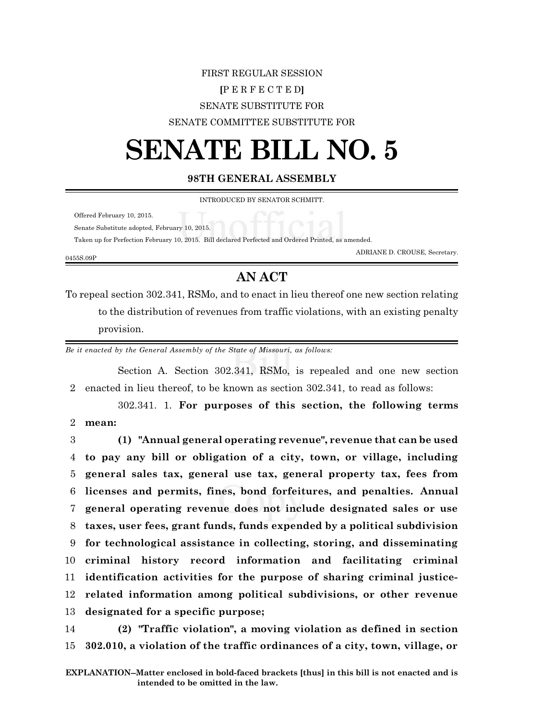## FIRST REGULAR SESSION **[**P E R F E C T E D**]** SENATE SUBSTITUTE FOR SENATE COMMITTEE SUBSTITUTE FOR

## **SENATE BILL NO. 5**

## **98TH GENERAL ASSEMBLY**

INTRODUCED BY SENATOR SCHMITT.

Offered February 10, 2015.

0455S.09P

Senate Substitute adopted, February 10, 2015.

Taken up for Perfection February 10, 2015. Bill declared Perfected and Ordered Printed, as amended.

ADRIANE D. CROUSE, Secretary.

## **AN ACT**

To repeal section 302.341, RSMo, and to enact in lieu thereof one new section relating to the distribution of revenues from traffic violations, with an existing penalty provision.

*Be it enacted by the General Assembly of the State of Missouri, as follows:*

Section A. Section 302.341, RSMo, is repealed and one new section 2 enacted in lieu thereof, to be known as section 302.341, to read as follows:

302.341. 1. **For purposes of this section, the following terms** 2 **mean:**

 **(1) "Annual general operating revenue", revenue that can be used to pay any bill or obligation of a city, town, or village, including general sales tax, general use tax, general property tax, fees from licenses and permits, fines, bond forfeitures, and penalties. Annual general operating revenue does not include designated sales or use taxes, user fees, grant funds, funds expended by a political subdivision for technological assistance in collecting, storing, and disseminating criminal history record information and facilitating criminal identification activities for the purpose of sharing criminal justice- related information among political subdivisions, or other revenue designated for a specific purpose;**

14 **(2) "Traffic violation", a moving violation as defined in section** 15 **302.010, a violation of the traffic ordinances of a city, town, village, or**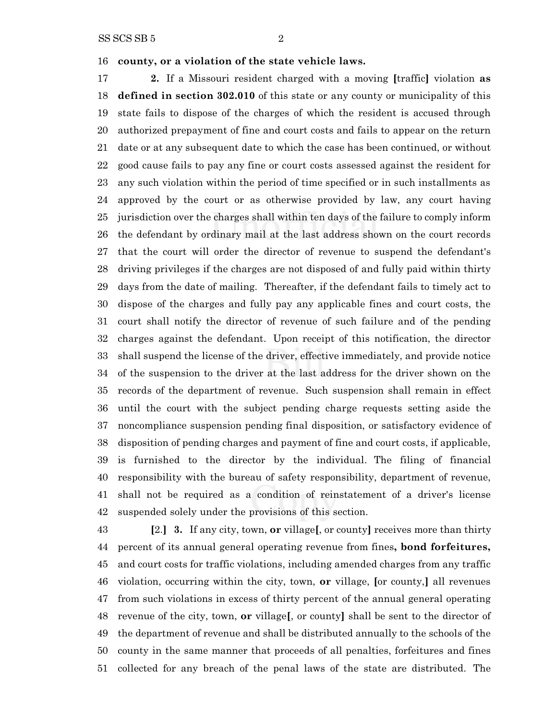**county, or a violation of the state vehicle laws.**

 **2.** If a Missouri resident charged with a moving **[**traffic**]** violation **as defined in section 302.010** of this state or any county or municipality of this state fails to dispose of the charges of which the resident is accused through authorized prepayment of fine and court costs and fails to appear on the return date or at any subsequent date to which the case has been continued, or without good cause fails to pay any fine or court costs assessed against the resident for any such violation within the period of time specified or in such installments as approved by the court or as otherwise provided by law, any court having jurisdiction over the charges shall within ten days of the failure to comply inform the defendant by ordinary mail at the last address shown on the court records that the court will order the director of revenue to suspend the defendant's driving privileges if the charges are not disposed of and fully paid within thirty days from the date of mailing. Thereafter, if the defendant fails to timely act to dispose of the charges and fully pay any applicable fines and court costs, the court shall notify the director of revenue of such failure and of the pending charges against the defendant. Upon receipt of this notification, the director shall suspend the license of the driver, effective immediately, and provide notice of the suspension to the driver at the last address for the driver shown on the records of the department of revenue. Such suspension shall remain in effect until the court with the subject pending charge requests setting aside the noncompliance suspension pending final disposition, or satisfactory evidence of disposition of pending charges and payment of fine and court costs, if applicable, is furnished to the director by the individual. The filing of financial responsibility with the bureau of safety responsibility, department of revenue, shall not be required as a condition of reinstatement of a driver's license suspended solely under the provisions of this section.

 **[**2.**] 3.** If any city, town, **or** village**[**, or county**]** receives more than thirty percent of its annual general operating revenue from fines**, bond forfeitures,** and court costs for traffic violations, including amended charges from any traffic violation, occurring within the city, town, **or** village, **[**or county,**]** all revenues from such violations in excess of thirty percent of the annual general operating revenue of the city, town, **or** village**[**, or county**]** shall be sent to the director of the department of revenue and shall be distributed annually to the schools of the county in the same manner that proceeds of all penalties, forfeitures and fines collected for any breach of the penal laws of the state are distributed. The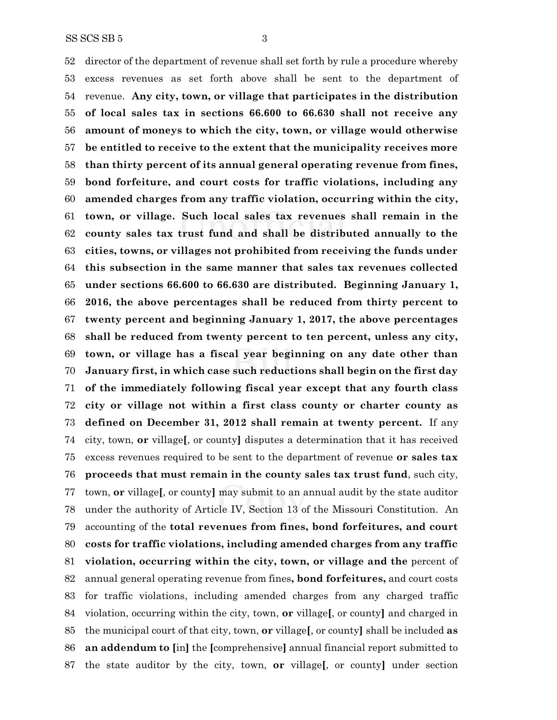director of the department of revenue shall set forth by rule a procedure whereby excess revenues as set forth above shall be sent to the department of revenue. **Any city, town, or village that participates in the distribution of local sales tax in sections 66.600 to 66.630 shall not receive any amount of moneys to which the city, town, or village would otherwise be entitled to receive to the extent that the municipality receives more than thirty percent of its annual general operating revenue from fines, bond forfeiture, and court costs for traffic violations, including any amended charges from any traffic violation, occurring within the city, town, or village. Such local sales tax revenues shall remain in the county sales tax trust fund and shall be distributed annually to the cities, towns, or villages not prohibited from receiving the funds under this subsection in the same manner that sales tax revenues collected under sections 66.600 to 66.630 are distributed. Beginning January 1, 2016, the above percentages shall be reduced from thirty percent to twenty percent and beginning January 1, 2017, the above percentages shall be reduced from twenty percent to ten percent, unless any city, town, or village has a fiscal year beginning on any date other than January first, in which case such reductions shall begin on the first day of the immediately following fiscal year except that any fourth class city or village not within a first class county or charter county as defined on December 31, 2012 shall remain at twenty percent.** If any city, town, **or** village**[**, or county**]** disputes a determination that it has received excess revenues required to be sent to the department of revenue **or sales tax proceeds that must remain in the county sales tax trust fund**, such city, town, **or** village**[**, or county**]** may submit to an annual audit by the state auditor under the authority of Article IV, Section 13 of the Missouri Constitution. An accounting of the **total revenues from fines, bond forfeitures, and court costs for traffic violations, including amended charges from any traffic violation, occurring within the city, town, or village and the** percent of annual general operating revenue from fines**, bond forfeitures,** and court costs for traffic violations, including amended charges from any charged traffic violation, occurring within the city, town, **or** village**[**, or county**]** and charged in the municipal court of that city, town, **or** village**[**, or county**]** shall be included **as an addendum to [**in**]** the **[**comprehensive**]** annual financial report submitted to the state auditor by the city, town, **or** village**[**, or county**]** under section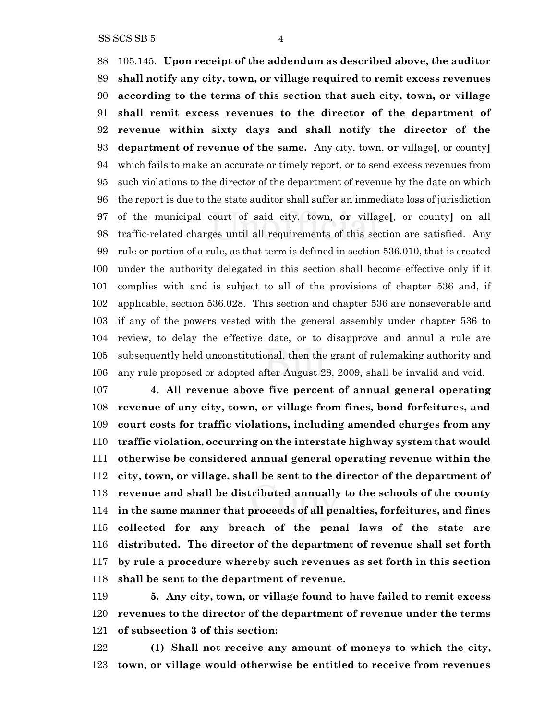105.145. **Upon receipt of the addendum as described above, the auditor shall notify any city, town, or village required to remit excess revenues according to the terms of this section that such city, town, or village shall remit excess revenues to the director of the department of revenue within sixty days and shall notify the director of the department of revenue of the same.** Any city, town, **or** village**[**, or county**]** which fails to make an accurate or timely report, or to send excess revenues from such violations to the director of the department of revenue by the date on which the report is due to the state auditor shall suffer an immediate loss of jurisdiction of the municipal court of said city, town, **or** village**[**, or county**]** on all traffic-related charges until all requirements of this section are satisfied. Any rule or portion of a rule, as that term is defined in section 536.010, that is created under the authority delegated in this section shall become effective only if it complies with and is subject to all of the provisions of chapter 536 and, if applicable, section 536.028. This section and chapter 536 are nonseverable and if any of the powers vested with the general assembly under chapter 536 to review, to delay the effective date, or to disapprove and annul a rule are subsequently held unconstitutional, then the grant of rulemaking authority and any rule proposed or adopted after August 28, 2009, shall be invalid and void.

 **4. All revenue above five percent of annual general operating revenue of any city, town, or village from fines, bond forfeitures, and court costs for traffic violations, including amended charges from any traffic violation, occurring on the interstate highway system that would otherwise be considered annual general operating revenue within the city, town, or village, shall be sent to the director of the department of revenue and shall be distributed annually to the schools of the county in the same manner that proceeds of all penalties, forfeitures, and fines collected for any breach of the penal laws of the state are distributed. The director of the department of revenue shall set forth by rule a procedure whereby such revenues as set forth in this section shall be sent to the department of revenue.**

 **5. Any city, town, or village found to have failed to remit excess revenues to the director of the department of revenue under the terms of subsection 3 of this section:**

 **(1) Shall not receive any amount of moneys to which the city, town, or village would otherwise be entitled to receive from revenues**